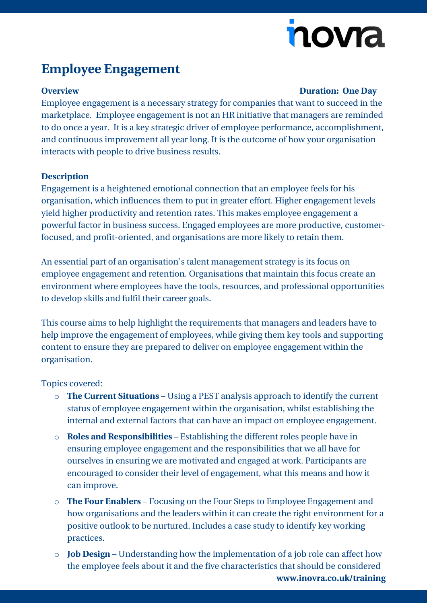# novia

### **Employee Engagement**

#### **Overview Duration: One Day**

Employee engagement is a necessary strategy for companies that want to succeed in the marketplace. Employee engagement is not an HR initiative that managers are reminded to do once a year. It is a key strategic driver of employee performance, accomplishment, and continuous improvement all year long. It is the outcome of how your organisation interacts with people to drive business results.

### **Description**

Engagement is a heightened emotional connection that an employee feels for his organisation, which influences them to put in greater effort. Higher engagement levels yield higher productivity and retention rates. This makes employee engagement a powerful factor in business success. Engaged employees are more productive, customerfocused, and profit-oriented, and organisations are more likely to retain them.

An essential part of an organisation's talent management strategy is its focus on employee engagement and retention. Organisations that maintain this focus create an environment where employees have the tools, resources, and professional opportunities to develop skills and fulfil their career goals.

This course aims to help highlight the requirements that managers and leaders have to help improve the engagement of employees, while giving them key tools and supporting content to ensure they are prepared to deliver on employee engagement within the organisation.

Topics covered:

- o **The Current Situations** Using a PEST analysis approach to identify the current status of employee engagement within the organisation, whilst establishing the internal and external factors that can have an impact on employee engagement.
- o **Roles and Responsibilities** Establishing the different roles people have in ensuring employee engagement and the responsibilities that we all have for ourselves in ensuring we are motivated and engaged at work. Participants are encouraged to consider their level of engagement, what this means and how it can improve.
- o **The Four Enablers** Focusing on the Four Steps to Employee Engagement and how organisations and the leaders within it can create the right environment for a positive outlook to be nurtured. Includes a case study to identify key working practices.
- **[www.inovra.co.uk/training](http://www.inovra.co.uk/training)** o **Job Design** – Understanding how the implementation of a job role can affect how the employee feels about it and the five characteristics that should be considered